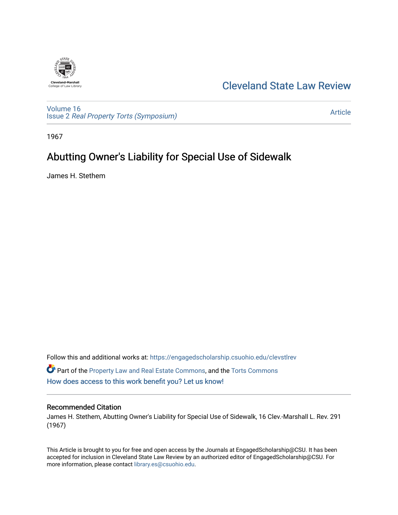

# [Cleveland State Law Review](https://engagedscholarship.csuohio.edu/clevstlrev)

[Volume 16](https://engagedscholarship.csuohio.edu/clevstlrev/vol16) Issue 2 [Real Property Torts \(Symposium\)](https://engagedscholarship.csuohio.edu/clevstlrev/vol16/iss2) 

[Article](https://engagedscholarship.csuohio.edu/clevstlrev/vol16/iss2/10) 

1967

# Abutting Owner's Liability for Special Use of Sidewalk

James H. Stethem

Follow this and additional works at: [https://engagedscholarship.csuohio.edu/clevstlrev](https://engagedscholarship.csuohio.edu/clevstlrev?utm_source=engagedscholarship.csuohio.edu%2Fclevstlrev%2Fvol16%2Fiss2%2F10&utm_medium=PDF&utm_campaign=PDFCoverPages) Part of the [Property Law and Real Estate Commons,](http://network.bepress.com/hgg/discipline/897?utm_source=engagedscholarship.csuohio.edu%2Fclevstlrev%2Fvol16%2Fiss2%2F10&utm_medium=PDF&utm_campaign=PDFCoverPages) and the [Torts Commons](http://network.bepress.com/hgg/discipline/913?utm_source=engagedscholarship.csuohio.edu%2Fclevstlrev%2Fvol16%2Fiss2%2F10&utm_medium=PDF&utm_campaign=PDFCoverPages)  [How does access to this work benefit you? Let us know!](http://library.csuohio.edu/engaged/)

## Recommended Citation

James H. Stethem, Abutting Owner's Liability for Special Use of Sidewalk, 16 Clev.-Marshall L. Rev. 291 (1967)

This Article is brought to you for free and open access by the Journals at EngagedScholarship@CSU. It has been accepted for inclusion in Cleveland State Law Review by an authorized editor of EngagedScholarship@CSU. For more information, please contact [library.es@csuohio.edu](mailto:library.es@csuohio.edu).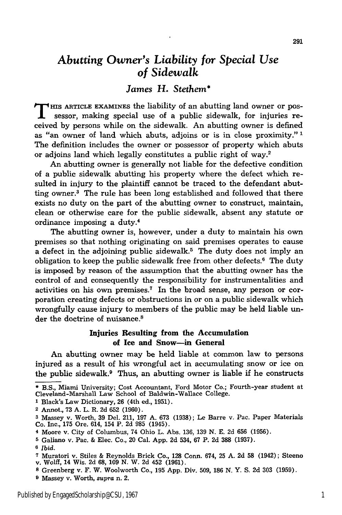# *Abutting Owner's Liability for Special Use of Sidewalk*

# *James* **H.** *Stethem\**

**THIS ARTICLE EXAMINES the liability of an abutting land owner or pos**sessor, making special use of a public sidewalk, for injuries received **by** persons while on the sidewalk. An abutting owner is defined as "an owner of land which abuts, adjoins or is in close proximity."<sup>1</sup> The definition includes the owner or possessor of property which abuts or adjoins land which legally constitutes a public right of way.2

An abutting owner is generally not liable for the defective condition of a public sidewalk abutting his property where the defect which resulted in injury to the plaintiff cannot be traced to the defendant abutting owner.3 The rule has been long established and followed that there exists no duty on the part of the abutting owner to construct, maintain, clean or otherwise care for the public sidewalk, absent any statute or ordinance imposing a duty.4

The abutting owner is, however, under a duty to maintain his own premises so that nothing originating on said premises operates to cause a defect in the adjoining public sidewalk.<sup>5</sup> The duty does not imply an obligation to keep the public sidewalk free from other defects.<sup>6</sup> The duty is imposed by reason of the assumption that the abutting owner has the control of and consequently the responsibility for instrumentalities and activities on his own premises.7 In the broad sense, any person or corporation creating defects or obstructions in or on a public sidewalk which wrongfully cause injury to members of the public may be held liable under the doctrine of nuisance.<sup>8</sup>

### Injuries Resulting from the Accumulation of Ice **and** Snow-in General

An abutting owner may be held liable at common law to persons injured as a result of his wrongful act in accumulating snow or ice on the public sidewalk.9 Thus, an abutting owner is liable if he constructs

- **1** Black's Law Dictionary, 26 (4th ed., 1951).
- 2 Annot., 73 A. L. R. 2d **652** (1960).

- 4 Moore v. City of Columbus, 74 Ohio L. Abs. 136, 139 N. E. 2d 656 (1956).
- **5** Galiano v. Pac. & Elec. Co., 20 Cal. App. **2d** 534, **67** P. 2d **388** (1937).
- **6** *Ibid.*

**<sup>\*</sup>** B.S., Miami University; Cost Accountant, Ford Motor Co.; Fourth-year student at Cleveland-Marshall Law School of Baldwin-Wallace College.

**<sup>3</sup>** Massey v. Worth, 39 Del. 211, 197 A. 673 (1938); Le Barre v. Pac. Paper Materials Co. Inc., 175 Ore. 614, 154 P. 2d **985** (1945).

**<sup>7</sup>** Muratori v. Stiles & Reynolds Brick Co., **128** Conn. 674, 25 A. 2d **58** (1942); Steeno v. Wolff, 14 Wis. **2d 68,** 109 N. W. 2d 452 (1961).

**<sup>8</sup>**Greenberg v. F. W. Woolworth Co., 195 App. Div. 509, **186** N. Y. S. 2d 303 (1959).

**<sup>9</sup>** Massey v. Worth, supra n. 2.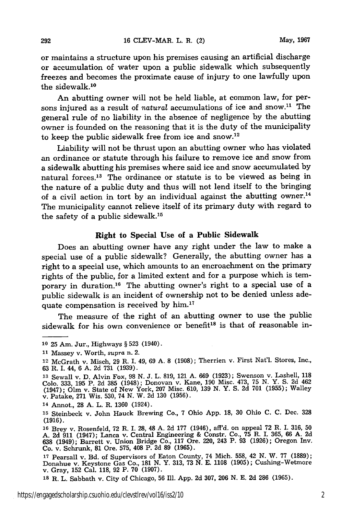or maintains a structure upon his premises causing an artificial discharge or accumulation of water upon a public sidewalk which subsequently freezes and becomes the proximate cause of injury to one lawfully upon the sidewalk.<sup>10</sup>

An abutting owner will not be held liable, at common law, for persons injured as a result of *natural* accumulations of ice and snow.<sup>11</sup> The general rule of no liability in the absence of negligence by the abutting owner is founded on the reasoning that it is the duty of the municipality to keep the public sidewalk free from ice and snow.<sup>12</sup>

Liability will not be thrust upon an abutting owner who has violated an ordinance or statute through his failure to remove ice and snow from a sidewalk abutting his premises where said ice and snow accumulated by natural forces.13 The ordinance or statute is to be viewed as being in the nature of a public duty and thus will not lend itself to the bringing of a civil action in tort by an individual against the abutting owner.<sup>14</sup> The municipality cannot relieve itself of its primary duty with regard to the safety of a public sidewalk.<sup>15</sup>

#### Right **to** Special Use of a **Public Sidewalk**

Does an abutting owner have any right under the law to make a special use of a public sidewalk? Generally, the abutting owner has a right to a special use, which amounts to an encroachment on the primary rights of the public, for a limited extent and for a purpose which is temporary in duration.<sup>16</sup> The abutting owner's right to a special use of a public sidewalk is an incident of ownership not to be denied unless adequate compensation is received by him.<sup>17</sup>

The measure of the right of an abutting owner to use the public sidewalk for his own convenience or benefit<sup>18</sup> is that of reasonable in-

292

**<sup>10 25</sup>** Am. Jur., Highways **§ 523** (1940).

**<sup>11</sup>**Massey v. Worth, *supra* n. 2.

<sup>12</sup> McGrath v. Misch, **29** R. **I.** 49, **69 A. 8 (1908);** Therrien v. First Nat'l. Stores, Inc., **63** R. **I.** 44, **6 A. 2d 731 (1939).**

**<sup>13</sup>**Sewall v. **D.** Alvin Fox, **98 N. J.** L. **819,** 121 **A. 669 (1923);** Swenson v. Lashell, **118** Colo. 333, 195 P. 2d 385 (1948); Donovan v. Kane, 190 Misc. 473, 75 N. Y. S. 2d 462<br>(1947); Olm v. State of New York, 207 Misc. 610, 139 N. Y. S. 2d 701 (1955); Walley v. Patake, **271** Wis. **530,** 74 **N.** W. **2d 130 (1956).**

**<sup>14</sup>**Annot., **28 A.** L. R. **1360** (1924).

**<sup>15</sup>**Steinbeck v. John Hauck Brewing Co., **7** Ohio **App. 18, 30** Ohio **C. C.** Dec. **328** (1916).

**<sup>16</sup>**Brey v. Rosenfeld, 72 R. I. 28, 48 A. 2d 177 (1946), aff'd. on appeal 72 R. I. 316, 50 A. 2d 911 (1947); Lanca v. Central Engineering & Constr. Co., 75 R. I. 365, 66 A. 2d 638 (1949); Barrett v. Union Bridge Co., 117 Ore. 220, 243 P. 93 (1926); Oregon Inv. Co. v. Schrunk, 81 Ore. 575, 408 P. 2d 89 (1965).

**<sup>17</sup>**Pearsall v. Bd. of Supervisors of Eaton County, 74 Mich. 558, 42 N. W. 77 (1889); Donahue v. Keystone Gas Co., 181 N. Y. 313, 73 N. E. 1108 (1905); Cushing-Wetmore v. Gray, 152 Cal. 118, 92 P. 70 (1907).

**<sup>18</sup>**R. L. Sabbath v. City of Chicago, 56 Ill. App. 2d 307, 206 N. E. 2d 286 (1965).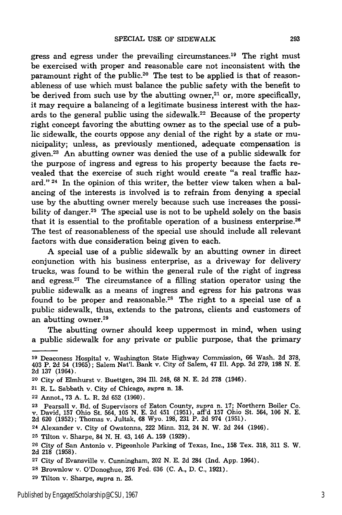gress and egress under the prevailing circumstances.<sup>19</sup> The right must be exercised with proper and reasonable care not inconsistent with the paramount right of the public.<sup>20</sup> The test to be applied is that of reasonableness of use which must balance the public safety with the benefit to be derived from such use by the abutting owner, $21$  or, more specifically, it may require a balancing of a legitimate business interest with the hazards to the general public using the sidewalk.<sup>22</sup> Because of the property right concept favoring the abutting owner as to the special use of a public sidewalk, the courts oppose any denial of the right by a state or municipality; unless, as previously mentioned, adequate compensation is given.23 An abutting owner was denied the use of a public sidewalk for the purpose of ingress and egress to his property because the facts revealed that the exercise of such right would create "a real traffic hazard." 24 In the opinion of this writer, the better view taken when a balancing of the interests is involved is to refrain from denying a special use by the abutting owner merely because such use increases the possibility of danger.<sup>25</sup> The special use is not to be upheld solely on the basis that it is essential to the profitable operation of a business enterprise.<sup>26</sup> The test of reasonableness of the special use should include all relevant factors with due consideration being given to each.

A special use of a public sidewalk by an abutting owner in direct conjunction with his business enterprise, as a driveway for delivery trucks, was found to be within the general rule of the right of ingress and egress.<sup>27</sup> The circumstance of a filling station operator using the public sidewalk as a means of ingress and egress for his patrons was found to be proper and reasonable.<sup>28</sup> The right to a special use of a public sidewalk, thus, extends to the patrons, clients and customers of an abutting owner.<sup>29</sup>

The abutting owner should keep uppermost in mind, when using a public sidewalk for any private or public purpose, that the primary

- 20 City of Elmhurst v. Buettgen, 394 Ill. 248, **68** N. E. 2d **278** (1946).
- 21 R. L. Sabbath v. City of Chicago, *supra* n. **18.**
- 22 Annot., 73 A. L. R. 2d 652 (1960).

24 Alexander v. City of Owatonna, 222 Minn. 312, 24 N. W. 2d 244 (1946).

**<sup>26</sup>**City of San Antonio v. Pigeonhole Parking of Texas, Inc., **158** Tex. 318, 311 **S.** W. 2d **218** (1958).

**<sup>19</sup>**Deaconess Hospital v. Washington State Highway Commission, 66 Wash. 2d 378, 403 P. 2d 54 (1965); Salem Nat'l. Bank v. City of Salem, 47 Ill. App. 2d 279, 198 N. E. 2d **137** (1964).

**<sup>23</sup>**Pearsall v. Bd. of Supervisors of Eaton County, *supra* n. 17; Northern Boiler Co. v. David, 157 Ohio St. 564, 105 **N.** E. 2d 451 (1951), aff'd 157 Ohio St. 564, **106 N.** E. 2d 620 (1952); Thomas v. Jultak, **68** Wyo. 198, 231 P. 2d 974 (1951).

**<sup>25</sup>** Tilton v. Sharpe, 84 N. H. 43, 146 A. 159 (1929).

**<sup>27</sup>**City of Evansville v. Cunningham, 202 N. E. 2d 284 (Ind. App. 1964).

**<sup>28</sup>** Brownlow v. O'Donoghue, 276 Fed. 636 (C. A., D. C., 1921).

**<sup>29</sup>**Tilton v. Sharpe, *supra* n. 25.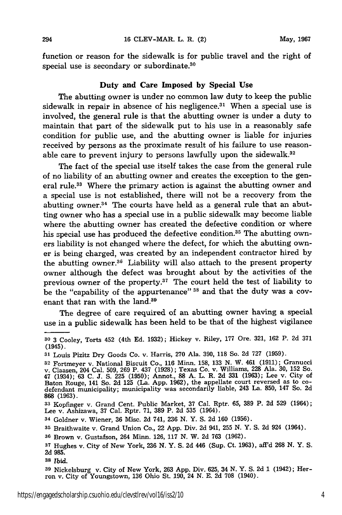function or reason for the sidewalk is for public travel and the right of special use is secondary or subordinate.<sup>30</sup>

#### Duty **and** Care **Imposed by Special Use**

The abutting owner is under no common law duty to keep the public sidewalk in repair in absence of his negligence.<sup>31</sup> When a special use is involved, the general rule is that the abutting owner is under a duty to maintain that part of the sidewalk put to his use in a reasonably safe condition for public use, and the abutting owner is liable for injuries received by persons as the proximate result of his failure to use reasonable care to prevent injury to persons lawfully upon the sidewalk.<sup>32</sup>

The fact of the special use itself takes the case from the general rule of no liability of an abutting owner and creates the exception to the general rule.33 Where the primary action is against the abutting owner and a special use is not established, there will not be a recovery from the abutting owner.<sup>34</sup> The courts have held as a general rule that an abutting owner who has a special use in a public sidewalk may become liable where the abutting owner has created the defective condition or where his special use has produced the defective condition.<sup>35</sup> The abutting owners liability is not changed where the defect, for which the abutting owner is being charged, was created by an independent contractor hired by the abutting owner.<sup>36</sup> Liability will also attach to the present property owner although the defect was brought about by the activities of the previous owner of the property. 37 The court held the test of liability to be the "capability of the appurtenance" **38** and that the duty was a covenant that ran with the land.<sup>39</sup>

The degree of care required of an abutting owner having a special use in a public sidewalk has been held to be that of the highest vigilance

**38** *Ibid.*

**<sup>30</sup>**3 Cooley, Torts 452 (4th Ed. 1932); Hickey v. Riley, **177** Ore. 321, 162 P. 2d 371 (1945).

**<sup>31</sup>**Louis Pizitz Dry Goods Co. v. Harris, **270** Ala. **390, 118** So. **2d 727 (1959).**

**<sup>32</sup>**Fortmeyer v. National Biscuit Co., **116** Minn. **158,** 133 N. W. 461 (1911); Granucci v. Claasen, 204 Cal. 509, 269 P. 437 (1928); Texas Co. v. Williams, **228** Ala. 30, 152 So. 47 (1934); 63 **C.** J. **S. 225** (1950); Annot., 88 A. L. R. 2d **331** (1963); Lee v. City of Baton Rouge, 141 So. **2d** 125 (La. App. 1962), the appellate court reversed as to co-defendant municipality; municipality was secondarily liable, 243 La. 850, 147 So. 2d **868 (1963).**

**<sup>33</sup>**Kopfinger v. Grand Cent. Public Market, **37** Cal. Rptr. **65, 389** P. **2d 529** (1964); Lee v. Ashizawa, **37** Cal. Rptr. **71, 389** P. **2d 535** (1964).

**<sup>34</sup>**Goldner v. Wiener, **36** Misc. **2d** 741, **236 N.** Y. **S. 2d 160 (1956).**

**<sup>35</sup>**Braithwaite v. Grand Union Co., 22 **App.** Div. **2d** 941, **255 N.** Y. **S. 2d** 924 (1964).

**<sup>36</sup>** Brown v. Gustafson, 264 Minn. **126, 117 N.** W. **2d 763 (1962).**

**<sup>37</sup>** Hughes v. City of New York, **236 N.** Y. **S. 2d** 446 (Sup. Ct. 1963), aff'd **268 N.** Y. **S. 2d 985.**

**<sup>39</sup>**Nickelsburg v. City of New York, **263 App.** Div. **625,** 34 **N.** Y. **S. 2d** 1 (1942); Her- ron v. City of Youngstown, **136** Ohio St. **190,** 24 **N. E. 2d 708** (1940).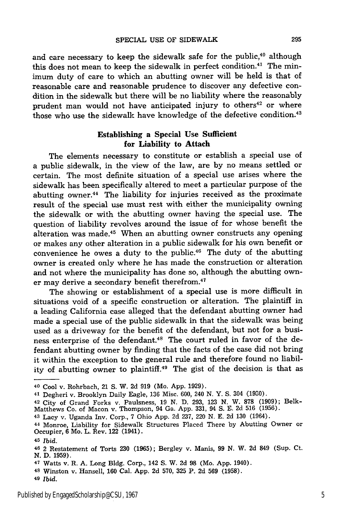and care necessary to keep the sidewalk safe for the public,<sup>40</sup> although this does not mean to keep the sidewalk in perfect condition.<sup>41</sup> The minimum duty of care to which an abutting owner will be held is that of reasonable care and reasonable prudence to discover any defective condition in the sidewalk but there will be no liability where the reasonably prudent man would not have anticipated injury to others<sup>42</sup> or where those who use the sidewalk have knowledge of the defective condition.<sup>43</sup>

### Establishing a Special Use Sufficient for Liability to Attach

The elements necessary to constitute or establish a special use of a public sidewalk, in the view of the law, are by no means settled or certain. The most definite situation of a special use arises where the sidewalk has been specifically altered to meet a particular purpose of the abutting owner.<sup>44</sup> The liability for injuries received as the proximate result of the special use must rest with either the municipality owning the sidewalk or with the abutting owner having the special use. The question of liability revolves around the issue of for whose benefit the alteration was made.<sup>45</sup> When an abutting owner constructs any opening or makes any other alteration in a public sidewalk for his own benefit or convenience he owes a duty to the public.<sup>46</sup> The duty of the abutting owner is created only where he has made the construction or alteration and not where the municipality has done so, although the abutting owner may derive a secondary benefit therefrom.<sup>47</sup>

The showing or establishment of a special use is more difficult in situations void of a specific construction or alteration. The plaintiff in a leading California case alleged that the defendant abutting owner had made a special use of the public sidewalk in that the sidewalk was being used as a driveway for the benefit of the defendant, but not for a business enterprise of the defendant.<sup>48</sup> The court ruled in favor of the defendant abutting owner by finding that the facts of the case did not bring it within the exception to the general rule and therefore found no liability of abutting owner to plaintiff.<sup>49</sup> The gist of the decision is that as

**<sup>40</sup>** Cool v. Rohrbach, 21 **S.** W. 2d 919 (Mo. App. 1929).

**<sup>41</sup>**Degheri v. Brooklyn Daily Eagle, 136 Misc. 600, 240 N. Y. S. 304 (1930).

**<sup>42</sup>** City of Grand Forks v. Paulsness, 19 N. D. 293, **123** N. W. **878** (1909); Belk-Matthews Co. of Macon v. Thompson, 94 Ga. App. 331, 94 S. E. 2d 516 (1956).

**<sup>43</sup>** Lacy v. Uganda Inv. Corp., 7 Ohio App. 2d 237, 220 N. E. 2d 130 (1964).

**<sup>44</sup>**Monroe, Liability for Sidewalk Structures Placed There by Abutting Owner or Occupier, 6 Mo. L. Rev. 122 (1941).

**<sup>45</sup>***Ibid.*

<sup>46 2</sup> Restatement of Torts **230 (1965);** Bergley v. Manis, **99 N.** W. **2d** 849 (Sup. Ct. **N. D. 1959).**

**<sup>47</sup>**Watts v. R. **A.** Long **Bldg.** Corp., 142 **S.** W. **2d 98** (Mo. **App.** 1940).

**<sup>48</sup>**Winston v. Hansell, **160** Cal. **App. 2d 570, 325** P. **2d 569 (1958).**

**<sup>49</sup>***Ibid.*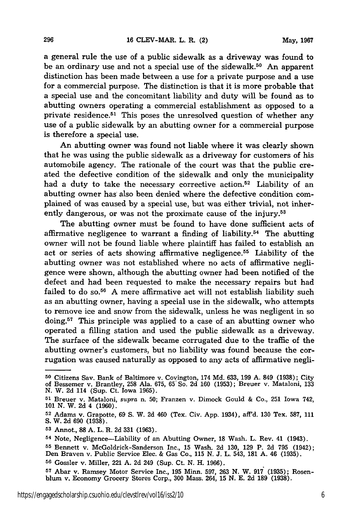a general rule the use of a public sidewalk as a driveway was found to be an ordinary use and not a special use of the sidewalk. 50 An apparent distinction has been made between a use for a private purpose and a use for a commercial purpose. The distinction is that it is more probable that a special use and the concomitant liability and duty will be found as to abutting owners operating a commercial establishment as opposed to a private residence.51 This poses the unresolved question of whether any use of a public sidewalk by an abutting owner for a commercial purpose is therefore a special use.

**An** abutting owner was found not liable where it was clearly shown that he was using the public sidewalk as a driveway for customers of his automobile agency. The rationale of the court was that the public created the defective condition of the sidewalk and only the municipality had a duty to take the necessary corrective action.<sup>52</sup> Liability of an abutting owner has also been denied where the defective condition complained of was caused by a special use, but was either trivial, not inherently dangerous, or was not the proximate cause of the injury.<sup>53</sup>

The abutting owner must be found to have done sufficient acts of affirmative negligence to warrant a finding of liability. $54$  The abutting owner will not be found liable where plaintiff has failed to establish an act or series of acts showing affirmative negligence.<sup>55</sup> Liability of the abutting owner was not established where no acts of affirmative negligence were shown, although the abutting owner had been notified of the defect and had been requested to make the necessary repairs but had failed to do so.<sup>56</sup> A mere affirmative act will not establish liability such as an abutting owner, having a special use in the sidewalk, who attempts to remove ice and snow from the sidewalk, unless he was negligent in so doing.57 This principle was applied to a case of an abutting owner who operated a filling station and used the public sidewalk as a driveway. The surface of the sidewalk became corrugated due to the traffic of the abutting owner's customers, but no liability was found because the corrugation was caused naturally as opposed to any acts of affirmative negli-

**<sup>50</sup>**Citizens Say. Bank of Baltimore v. Covington, 174 Md. 633, 199 A. 849 (1938); City of Bessemer v. Brantley, 258 Ala. 675, 65 So. 2d 160 (1953); Breuer v. Mataloni, 133 **N.** W. 2d 114 (Sup. Ct. Iowa 1965).

**<sup>51</sup>**Breuer v. Mataloni, *supra* n. **50;** Franzen v. Dimock Gould & Co., 251 Iowa 742, **101** N. W. 2d 4 (1960).

**<sup>52</sup>**Adams v. Grapotte, 69 **S.** W. 2d 460 (Tex. Civ. App. 1934), aff'd. 130 Tex. 587, 111 S. W. 2d 690 (1938).

**<sup>53</sup>**Annot., 88 A. L. R. 2d 331 (1963).

**<sup>54</sup>**Note, Negligence-Liability of an Abutting Owner, 18 Wash. L. Rev. 41 (1943). **<sup>55</sup>**Bennett v. McGoldrick-Sanderson Inc., 15 Wash. 2d 130, 129 P. 2d 795 (1942); Den Braven v. Public Service Elec. & Gas Co., 115 N. J. L. 543, 181 A. 46 (1935). **56** Gossler v. Miller, 221 A. 2d 249 (Sup. Ct. N. H. 1966).

**<sup>57</sup>** Abar v. Ramsey Motor Service Inc., 195 Minn. 597, **263 N.** W. 917 **(1935);** Rosenblum v. Economy Grocery Stores Corp., 300 Mass. 264, 15 **N.** E. 2d **189** (1938).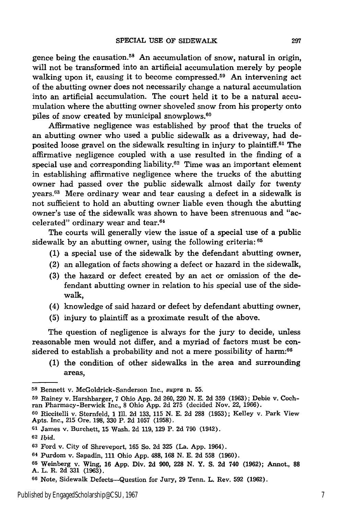gence being the causation.<sup>58</sup> An accumulation of snow, natural in origin, will not be transformed into an artificial accumulation merely **by** people walking upon it, causing it to become compressed.<sup>59</sup> An intervening act of the abutting owner does not necessarily change a natural accumulation into an artificial accumulation. The court held it to be a natural accumulation where the abutting owner shoveled snow from his property onto piles of snow created **by** municipal snowplows. <sup>60</sup>

Affirmative negligence was established **by** proof that the trucks of an abutting owner who used a public sidewalk as a driveway, had deposited loose gravel on the sidewalk resulting in injury to plaintiff.61 The affirmative negligence coupled with a use resulted in the finding of a special use and corresponding liability.<sup>62</sup> Time was an important element in establishing affirmative negligence where the trucks of the abutting owner had passed over the public sidewalk almost daily for twenty years.63 Mere ordinary wear and tear causing a defect in a sidewalk is not sufficient to hold an abutting owner liable even though the abutting owner's use of the sidewalk was shown to have been strenuous and "accelerated" ordinary wear and tear.64

The courts will generally view the issue of a special use of a public sidewalk **by** an abutting owner, using the following criteria: <sup>65</sup>

- **(1)** a special use of the sidewalk **by** the defendant abutting owner,
- (2) an allegation of facts showing a defect or hazard in the sidewalk,
- **(3)** the hazard or defect created **by** an act or omission of the defendant abutting owner in relation to his special use of the sidewalk,
- (4) knowledge of said hazard or defect **by** defendant abutting owner,
- **(5)** injury to plaintiff as a proximate result of the above.

The question of negligence is always for the jury to decide, unless reasonable men would not differ, and a myriad of factors must be considered to establish a probability and not a mere possibility of harm:<sup>66</sup>

**(1)** the condition of other sidewalks in the area and surrounding areas,

**<sup>59</sup>**Rainey v. Harshbarger, **7** Ohio **App. 2d 260,** 220 **N. E. 2d 359 (1963);** Debie v. Coch- ran Pharmacy-Berwick Inc., **8** Ohio **App. 2d 275** (decided Nov. 22, **1966).**

**<sup>61</sup>**James v. Burchett, **15** Wash. **2d 119, 129** P. **2d 790** (1942).

**<sup>64</sup>**Purdom v. Sapadin, 111 Ohio App. 488, **168** N. E. 2d **558** (1960).

**<sup>58</sup>**Bennett v. McGoldrick-Sanderson Inc., *supra* n. **55.**

**<sup>60</sup>**Riccitelli v. Sternfeld, 1 **Ill. 2d 133, 115 N. E. 2d 288 (1953);** Kelley v. Park View Apts. Inc., **215** Ore. **198, 330** P. **2d 1057 (1958).**

**<sup>62</sup>** Ibid.

**<sup>63</sup>**Ford v. City of Shreveport, 165 So. 2d 325 (La. App. 1964).

**<sup>65</sup>** Weinberg v. Wing, **16** App. Div. 2d 900, **228** N. Y. S. 2d 740 (1962); Annot., **88** A. L. R. 2d 331 (1963).

**<sup>66</sup>**Note, Sidewalk Defects-Question for Jury, 29 Tenn. L. Rev. **592** (1962).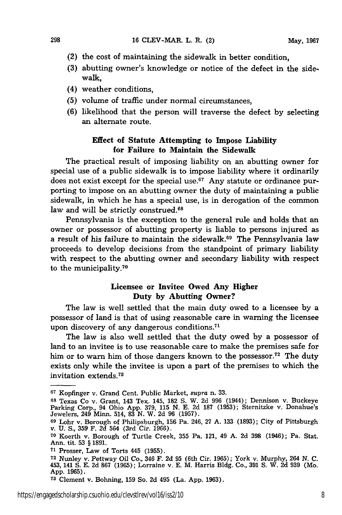- (2) the cost of maintaining the sidewalk in better condition,
- **(3)** abutting owner's knowledge or notice of the defect in the sidewalk,
- (4) weather conditions,

298

- (5) volume of traffic under normal circumstances,
- (6) likelihood that the person will traverse the defect by selecting an alternate route.

### Effect of Statute Attempting to Impose **Liability** for Failure to Maintain the Sidewalk

The practical result of imposing liability on an abutting owner for special use of a public sidewalk is to impose liability where it ordinarily does not exist except for the special use.67 **Any** statute or ordinance purporting to impose on an abutting owner the duty of maintaining a public sidewalk, in which he has a special use, is in derogation of the common law and will be strictly construed.<sup>68</sup>

Pennsylvania is the exception to the general rule and holds that an owner or possessor of abutting property is liable to persons injured as a result of his failure to maintain the sidewalk. 69 The Pennsylvania law proceeds to develop decisions from the standpoint of primary liability with respect to the abutting owner and secondary liability with respect to the municipality.<sup>70</sup>

## Licensee or **Invitee Owed Any Higher Duty by Abutting Owner?**

The law is well settled that the main duty owed to a licensee **by** a possessor of land is that of using reasonable care in warning the licensee upon discovery of any dangerous conditions.<sup>71</sup>

The law is also well settled that the duty owed **by** a possessor of land to an invitee is to use reasonable care to make the premises safe for him or to warn him of those dangers known to the possessor.<sup>72</sup> The duty exists only while the invitee is upon a part of the premises to which the invitation extends.73

**<sup>67</sup>**Kopfinger v. Grand Cent. Public Market, *supra* n. **33.**

**<sup>68</sup>**Texas Co v. Grant, 143 Tex. 145, **182 S.** W. **2d 996** (1944); Dennison v. Buckeye Parking Corp., 94 Ohio **App. 379, 115 N. E. 2d 187 (1953);** Sternitzke v. Donahue's Jewelers, 249 Minn. 514, **83 N.** W. **2d 96 (1957).**

**<sup>69</sup>**Lohr v. Borough of Philipsburgh, **156** Pa. 246, **27 A. 133 (1893);** City of Pittsburgh v. U. S., 359 F. **2d** 564 (3rd Cir. 1966).

**<sup>70</sup>**Koerth v. Borough of Turtle Creek, **355** Pa. 121, 49 A. 2d **398** (1946); Pa. Stat. Ann. tit. 53 § 1891.

**<sup>71</sup>**Prosser, Law of Torts 445 (1955).

**<sup>72</sup>**Nunley v. Pettway Oil Co., 346 F. 2d 95 (6th Cir. 1965); York v. Murphy, 264 **N. C.** 453, 141 **S. E.** 2d **867** (1965); Lorraine v. E. M. Harris Bldg. Co., 391 S. W. 2d 939 (Mo. App. 1965).

**<sup>73</sup>**Clement v. Bohning, 159 So. 2d 495 (La. App. 1963).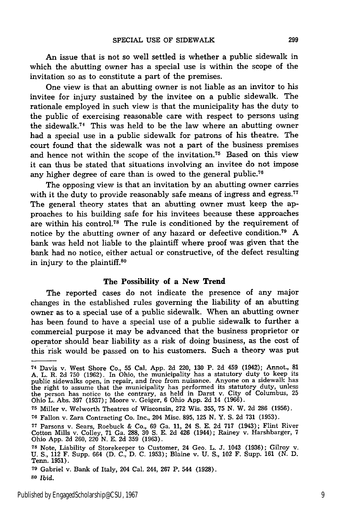An issue that is not so well settled is whether a public sidewalk in which the abutting owner has a special use is within the scope of the invitation so as to constitute a part of the premises.

One view is that an abutting owner is not liable as an invitor to his invitee for injury sustained by the invitee on a public sidewalk. The rationale employed in such view is that the municipality has the duty to the public of exercising reasonable care with respect to persons using the sidewalk.74 This was held to be the law where an abutting owner had a special use in a public sidewalk for patrons of his theatre. The court found that the sidewalk was not a part of the business premises and hence not within the scope of the invitation.75 Based on this view it can thus be stated that situations involving an invitee do not impose any higher degree of care than is owed to the general public.<sup>76</sup>

The opposing view is that an invitation by an abutting owner carries with it the duty to provide reasonably safe means of ingress and egress.<sup>77</sup> The general theory states that an abutting owner must keep the approaches to his building safe for his invitees because these approaches are within his control.78 The rule is conditioned by the requirement of notice by the abutting owner of any hazard or defective condition.<sup>79</sup> A bank was held not liable to the plaintiff where proof was given that the bank had no notice, either actual or constructive, of the defect resulting in injury to the plaintiff. $80$ 

#### The Possibility of a New **Trend**

The reported cases do not indicate the presence of any major changes in the established rules governing the liability of an abutting owner as to a special use of a public sidewalk. When an abutting owner has been found to have a special use of a public sidewalk to further a commercial purpose it may be advanced that the business proprietor or operator should bear liability as a risk of doing business, as the cost of this risk would be passed on to his customers. Such a theory was put

<sup>74</sup> Davis v. West Shore Co., 55 Cal. App. 2d 220, 130 P. 2d 459 (1942); Annot., 81 A. L. R. 2d 750 (1962). In Ohio, the municipality has a statutory duty to keep its public sidewalks open, in repair, and free from nuisance. Anyone on a sidewalk has the right to assume that the municipality has performed its statutory duty, unless the person has notice to the contrary, as held in Darst v. City of Columbus, 25 Ohio L. Abs. 397 (1937); Moore v. Geiger, 6 Ohio App. 2d 14 (1966).

**<sup>75</sup>** Miller v. Welworth Theatres of Wisconsin, 272 Wis. 355, 75 N. W. 2d 286 (1956).

**<sup>76</sup>**Fallon v. Zara Contracting Co. Inc., 204 Misc. 895, 125 N. Y. S. 2d 731 (1953).

**<sup>77</sup>**Parsons v. Sears, Roebuck & Co., 69 Ga. 11, 24 **S.** E. 2d 717 (1943); Flint River Cotton Mills v. Colley, 71 Ga. 288, 30 **S.** E. 2d 426 (1944); Rainey v. Harshbarger, 7 Ohio App. 2d 260, 220 N. E. 2d 359 (1963).

**<sup>78</sup>**Note, Liability of Storekeeper to Customer, 24 Geo. L. J. 1043 (1936); Gilroy v. U. **S.,** 112 F. Supp. 664 (D. C., D. C. 1953); Blaine v. U. **S.,** 102 F. Supp. 161 (N. D. Tenn. **1951).**

**<sup>79</sup>**Gabriel v. Bank of Italy, 204 Cal. 244, **267** P. 544 **(1928).**

**<sup>80</sup>***Ibid.*